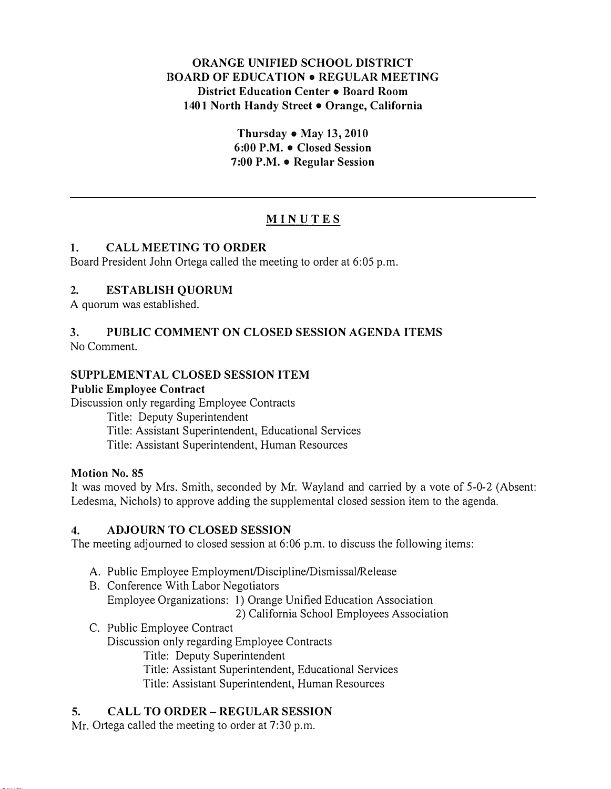### ORANGE UNIFIED SCHOOL DISTRICT **BOARD OF EDUCATION . REGULAR MEETING** District Education Center • Board Room 1401 North Handy Street . Orange, California

Thursday  $\bullet$  May 13, 2010 6:00 P.M. • Closed Session 7:00 P.M.  $\bullet$  Regular Session

# MINUTES

#### I. CALL MEETING TO ORDER

Board President John Ortega called the meeting to order at 6:05 p.m.

#### 2. ESTABLISH QUORUM

A quorum was established.

# 3. PUBLIC COMMENT ON CLOSED SESSION AGENDA ITEMS

No Comment.

#### SUPPLEMENTAL CLOSED SESSION ITEM

#### Public Employee Contract

Discussion only regarding Employee Contracts

Title: Deputy Superintendent Title: Assistant Superintendent, Educational Services Title: Assistant Superintendent, Human Resources

#### Motion No. 85

It was moved by Mrs. Smith, seconded by Mr. Wayland and carried by a vote of 5-0-2 (Absent: Ledesma, Nichols) to approve adding the supplemental closed session item to the agenda.

#### 4. ADJOURN TO CLOSED SESSION

The meeting adjourned to closed session at 6:06 p.m. to discuss the following items:

- A. Public Employee Employment/Discipline/Dismissal/Release
- B. Conference With Labor Negotiators Employee Organizations: I) Orange Unified Education Association 2) California School Employees Association
- C. Public Employee Contract Discussion only regarding Employee Contracts Title: Deputy Superintendent Title: Assistant Superintendent, Educational Services
	- Title: Assistant Superintendent, Human Resources

#### 5. CALL TO ORDER- REGULAR SESSION

Mr. Ortega called the meeting to order at 7:30 p.m.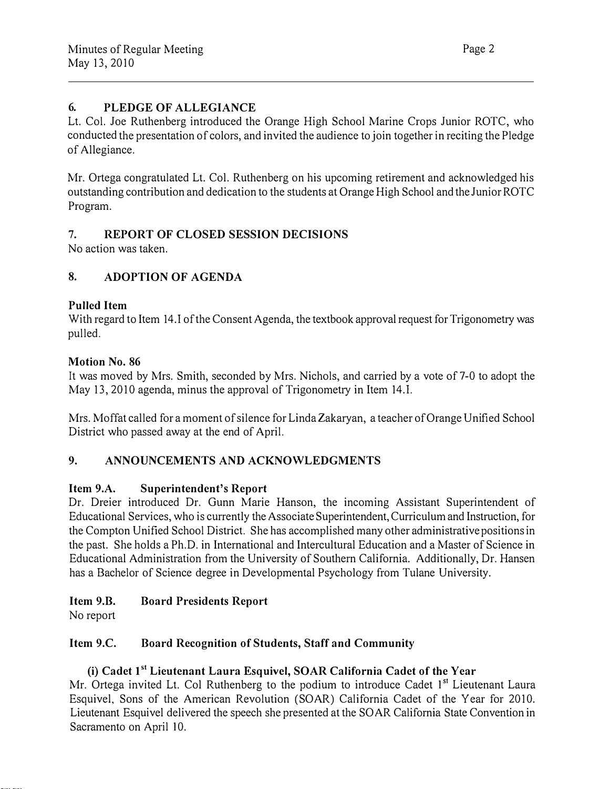# 6. PLEDGE OF ALLEGIANCE

Lt. Col. Joe Ruthenberg introduced the Orange High School Marine Crops Junior ROTC, who conducted the presentation of colors, and invited the audience to join together in reciting the Pledge of Allegiance.

Mr. Ortega congratulated Lt. Col. Ruthenberg on his upcoming retirement and acknowledged his outstanding contribution and dedication to the students at Orange High School and the Junior ROTC Program.

# 7. REPORT OF CLOSED SESSION DECISIONS

No action was taken.

# 8. ADOPTION OF AGENDA

#### Pulled Item

With regard to Item 14.1 of the Consent Agenda, the textbook approval request for Trigonometry was pulled.

#### Motion No. 86

It was moved by Mrs. Smith, seconded by Mrs. Nichols, and carried by a vote of 7-0 to adopt the May 13,2010 agenda, minus the approval of Trigonometry in Item 14.1.

Mrs. Moffat called for a moment of silence for Linda Zakaryan, a teacher of Orange Unified School District who passed away at the end of April.

# 9. ANNOUNCEMENTS AND ACKNOWLEDGMENTS

#### Item 9.A. Superintendent's Report

Dr. Dreier introduced Dr. Gunn Marie Hanson, the incoming Assistant Superintendent of Educational Services, who is currently the Associate Superintendent, Curriculum and Instruction, for the Compton Unified School District. She has accomplished many other administrative positions in the past. She holds a Ph.D. in International and Intercultural Education and a Master of Science in Educational Administration from the University of Southern California. Additionally, Dr. Hansen has a Bachelor of Science degree in Developmental Psychology from Tulane University.

#### Item 9.B. Board Presidents Report

No report

#### Item 9.C. Board Recognition of Students, Staff and Community

#### (i) Cadet 1<sup>st</sup> Lieutenant Laura Esquivel, SOAR California Cadet of the Year

Mr. Ortega invited Lt. Col Ruthenberg to the podium to introduce Cadet 1<sup>st</sup> Lieutenant Laura Esquivel, Sons of the American Revolution (SOAR) California Cadet of the Year for 2010. Lieutenant Esquivel delivered the speech she presented at the SOAR California State Convention in Sacramento on April 10.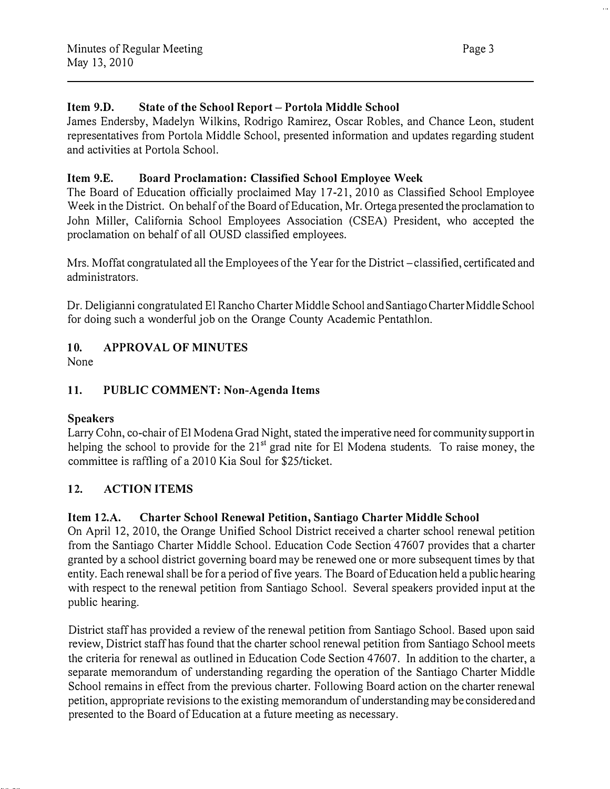# Item 9.D. State of the School Report- Portola Middle School

James Endersby, Madelyn Wilkins, Rodrigo Ramirez, Oscar Robles, and Chance Leon, student representatives from Portola Middle School, presented information and updates regarding student and activities at Portola School.

# Item 9.E. Board Proclamation: Classified School Employee Week

The Board of Education officially proclaimed May 17-21, 2010 as Classified School Employee Week in the District. On behalf of the Board of Education, Mr. Ortega presented the proclamation to John Miller, California School Employees Association (CSEA) President, who accepted the proclamation on behalf of all OUSD classified employees.

Mrs. Moffat congratulated all the Employees of the Year for the District-classified, certificated and administrators.

Dr. Deligianni congratulated El Rancho Charter Middle School and Santiago Charter Middle School for doing such a wonderful job on the Orange County Academic Pentathlon.

# 10. APPROVAL OF MINUTES

None

# 11. PUBLIC COMMENT: Non-Agenda Items

# Speakers

Larry Cohn, co-chair of EI Modena Grad Night, stated the imperative need for community support in helping the school to provide for the 21<sup>st</sup> grad nite for El Modena students. To raise money, the committee is raffling of a 2010 Kia Soul for \$25/ticket.

# 12. ACTION ITEMS

# Item 12.A. Charter School Renewal Petition, Santiago Charter Middle School

On April 12, 2010, the Orange Unified School District received a charter school renewal petition from the Santiago Charter Middle School. Education Code Section 47607 provides that a charter granted by a school district governing board may be renewed one or more subsequent times by that entity. Each renewal shall be for a period of five years. The Board of Education held a public hearing with respect to the renewal petition from Santiago School. Several speakers provided input at the public hearing.

District staff has provided a review of the renewal petition from Santiago School. Based upon said review, District staff has found that the charter school renewal petition from Santiago School meets the criteria for renewal as outlined in Education Code Section 47607. In addition to the charter, a separate memorandum of understanding regarding the operation of the Santiago Charter Middle School remains in effect from the previous charter. Following Board action on the charter renewal petition, appropriate revisions to the existing memorandum of understanding may be considered and presented to the Board of Education at a future meeting as necessary.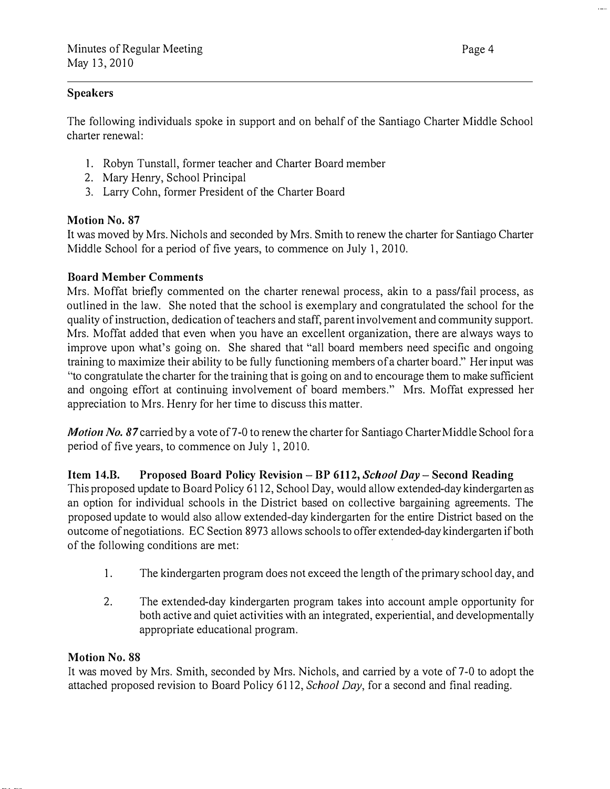### Speakers

The following individuals spoke in support and on behalf of the Santiago Charter Middle School charter renewal:

- 1. Robyn Tunstall, former teacher and Charter Board member
- 2. Mary Henry, School Principal
- 3. Larry Cohn, former President of the Charter Board

# Motion No. 87

It was moved by Mrs. Nichols and seconded by Mrs. Smith to renew the charter for Santiago Charter Middle School for a period of five years, to commence on July I, 2010.

# Board Member Comments

Mrs. Moffat briefly commented on the charter renewal process, akin to a pass/fail process, as outlined in the law. She noted that the school is exemplary and congratulated the school for the quality of instruction, dedication of teachers and staff, parent involvement and community support. Mrs. Moffat added that even when you have an excellent organization, there are always ways to improve upon what's going on. She shared that "all board members need specific and ongoing training to maximize their ability to be fully functioning members of a charter board." Her input was "to congratulate the charter for the training that is going on and to encourage them to make sufficient and ongoing effort at continuing involvement of board members." Mrs. Moffat expressed her appreciation to Mrs. Henry for her time to discuss this matter.

Motion No. 87 carried by a vote of 7-0 to renew the charter for Santiago Charter Middle School for a period of five years, to commence on July 1, 2010.

Item 14.B. Proposed Board Policy Revision – BP 6112, School Day – Second Reading This proposed update to Board Policy 6112, School Day, would allow extended-day kindergarten as an option for individual schools in the District based on collective bargaining agreements. The proposed update to would also allow extended-day kindergarten for the entire District based on the outcome of negotiations. EC Section 8973 allows schools to offer extended-day kindergarten if both of the following conditions are met:

- 1. The kindergarten program does not exceed the length of the primary school day, and
- 2. The extended-day kindergarten program takes into account ample opportunity for both active and quiet activities with an integrated, experiential, and developmentally appropriate educational program.

# Motion No. 88

It was moved by Mrs. Smith, seconded by Mrs. Nichols, and carried by a vote of 7-0 to adopt the attached proposed revision to Board Policy 6112, School Day, for a second and final reading.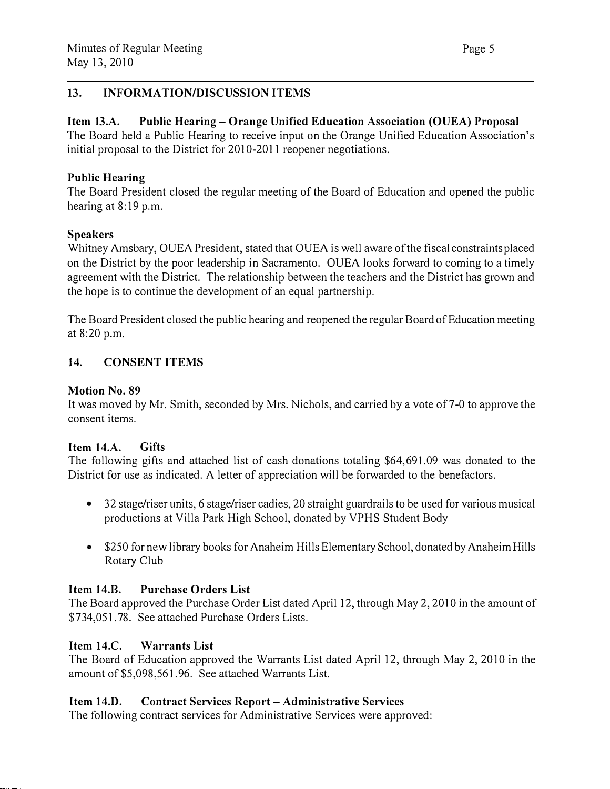# 13. INFORMATION/DISCUSSION ITEMS

Item 13.A. Public Hearing- Orange Unified Education Association (OUEA) Proposal The Board held a Public Hearing to receive input on the Orange Unified Education Association's initial proposal to the District for 2010-2011 reopener negotiations.

#### Public Hearing

The Board President closed the regular meeting of the Board of Education and opened the public hearing at 8:19 p.m.

# Speakers

Whitney Amsbary, OUEA President, stated that OUEA is well aware of the fiscal constraints placed on the District by the poor leadership in Sacramento. OUEA looks forward to coming to a timely agreement with the District. The relationship between the teachers and the District has grown and the hope is to continue the development of an equal partnership.

The Board President closed the public hearing and reopened the regular Board of Education meeting at 8:20 p.m.

# 14. CONSENT ITEMS

# Motion No. 89

It was moved by Mr. Smith, seconded by Mrs. Nichols, and carried by a vote of 7-0 to approve the consent items.

#### Item 14.A. Gifts

The following gifts and attached list of cash donations totaling \$64,691.09 was donated to the District for use as indicated. A letter of appreciation will be forwarded to the benefactors.

- 32 stage/riser units, 6 stage/riser cadies, 20 straight guardrails to be used for various musical productions at Villa Park High School, donated by VPHS Student Body
- \$250 for new library books for Anaheim Hills Elementary School, donated by Anaheim Hills Rotary Club

# Item 14.B. Purchase Orders List

The Board approved the Purchase Order List dated April 12, through May 2, 2010 in the amount of \$734,051.78. See attached Purchase Orders Lists.

# Item 14.C. Warrants List

The Board of Education approved the Warrants List dated April 12, through May 2, 2010 in the amount of \$5,098,561.96. See attached Warrants List.

# Item 14.D. Contract Services Report- Administrative Services

The following contract services for Administrative Services were approved: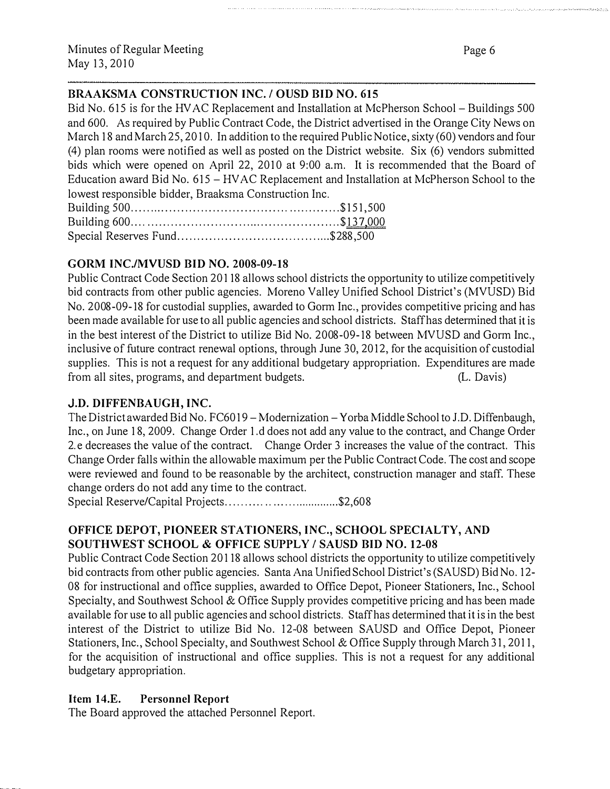#### BRAAKSMA CONSTRUCTION INC. / OUSD BID NO. 615

Bid No. 615 is for the HV AC Replacement and Installation at McPherson School- Buildings 500 and 600. As required by Public Contract Code, the District advertised in the Orange City News on March 18 and March 25, 2010. In addition to the required Public Notice, sixty (60) vendors and four (4) plan rooms were notified as well as posted on the District website. Six (6) vendors submitted bids which were opened on April 22, 2010 at 9:00 a.m. It is recommended that the Board of Education award Bid No. 615- HVAC Replacement and Installation at McPherson School to the lowest responsible bidder, Braaksma Construction Inc. Building 500 ..................................................... \$151,500

#### GORM INC./MVUSD BID NO. 2008-09-18

Public Contract Code Section 20118 allows school districts the opportunity to utilize competitively bid contracts from other public agencies. Moreno Valley Unified School District's (MVUSD) Bid No. 2008-09-18 for custodial supplies, awarded to Gorm Inc., provides competitive pricing and has been made available for use to all public agencies and school districts. Staff has determined that it is in the best interest of the District to utilize Bid No. 2008-09-18 between MVUSD and Gorm Inc., inclusive of future contract renewal options, through June 30, 2012, for the acquisition of custodial supplies. This is not a request for any additional budgetary appropriation. Expenditures are made from all sites, programs, and department budgets. (L. Davis)

# J.D. DIFFENBAUGH, INC.

The District awarded Bid No. FC6019 - Modernization - Yorba Middle School to J.D. Diffenbaugh, Inc., on June 18, 2009. Change Order 1.d does not add any value to the contract, and Change Order 2.e decreases the value of the contract. Change Order 3 increases the value of the contract. This Change Order falls within the allowable maximum per the Public Contract Code. The cost and scope were reviewed and found to be reasonable by the architect, construction manager and staff. These change orders do not add any time to the contract.

Special Reserve/Capital Projects...................................\$2,608

# OFFICE DEPOT, PIONEER STATIONERS, INC., SCHOOL SPECIALTY, AND SOUTHWEST SCHOOL & OFFICE SUPPLY / SAUSD BID NO. 12-08

Public Contract Code Section 20118 allows school districts the opportunity to utilize competitively bid contracts from other public agencies. Santa Ana Unified School District's (SAUSD) Bid No. 12- 08 for instructional and office supplies, awarded to Office Depot, Pioneer Stationers, Inc., School Specialty, and Southwest School & Office Supply provides competitive pricing and has been made available for use to all public agencies and school districts. Staff has determined that it is in the best interest of the District to utilize Bid No. 12-08 between SAUSD and Office Depot, Pioneer Stationers, Inc., School Specialty, and Southwest School & Office Supply through March 31, 2011, for the acquisition of instructional and office supplies. This is not a request for any additional budgetary appropriation.

# Item 14.E. Personnel Report

The Board approved the attached Personnel Report.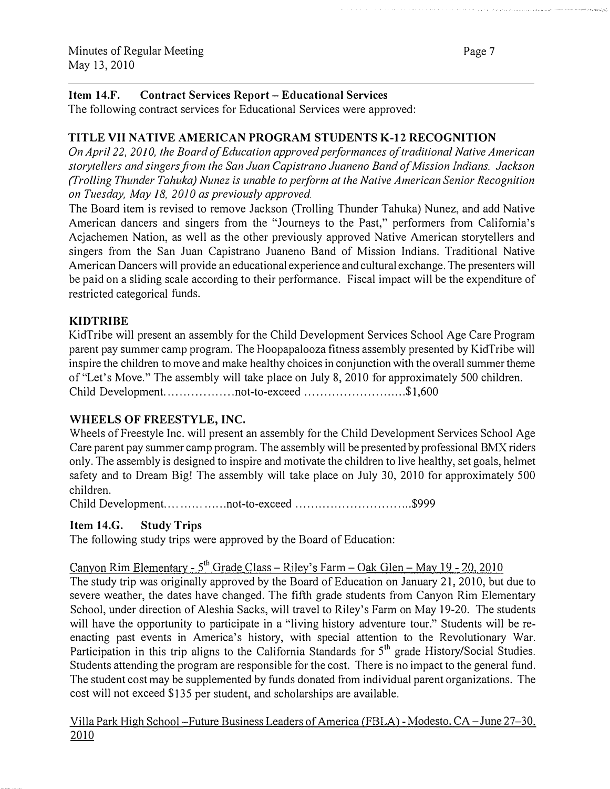#### Item 14.F. Contract Services Report- Educational Services

The following contract services for Educational Services were approved:

#### TITLE VII NATIVE AMERICAN PROGRAM STUDENTS K-12 RECOGNITION

On April 22, 2010, the Board of Education approved performances of traditional Native American storytellers and singers from the San Juan Capistrano Juaneno Band of Mission Indians. Jackson (Trolling Thunder Tahuka) Nunez is unable to perform at the Native American Senior Recognition on Tuesday, May 18, 2010 as previously approved.

The Board item is revised to remove Jackson (Trolling Thunder Tahuka) Nunez, and add Native American dancers and singers from the "Journeys to the Past," performers from California's Acjachemen Nation, as well as the other previously approved Native American storytellers and singers from the San Juan Capistrano Juaneno Band of Mission Indians. Traditional Native American Dancers will provide an educational experience and cultural exchange. The presenters will be paid on a sliding scale according to their performance. Fiscal impact will be the expenditure of restricted categorical funds.

# KIDTRIBE

KidTribe will present an assembly for the Child Development Services School Age Care Program parent pay summer camp program. The Hoopapalooza fitness assembly presented by KidTribe will inspire the children to move and make healthy choices in conjunction with the overall summer theme of"Let's Move." The assembly will take place on July 8, 2010 for approximately 500 children. Child Development. ................. not-to-exceed ................... . ...... \$1 ,600

#### WHEELS OF FREESTYLE, INC.

Wheels of Freestyle Inc. will present an assembly for the Child Development Services School Age Care parent pay summer camp program. The assembly will be presented by professional BMX riders only. The assembly is designed to inspire and motivate the children to live healthy, set goals, helmet safety and to Dream Big! The assembly will take place on July 30, 2010 for approximately 500 children.

Child Development.. .............. not-to-exceed ............ . ................. \$999

#### Item 14.G. Study Trips

The following study trips were approved by the Board of Education:

# Canyon Rim Elementary - 5<sup>th</sup> Grade Class - Riley's Farm - Oak Glen - May 19 - 20, 2010

The study trip was originally approved by the Board of Education on January 21, 2010, but due to severe weather, the dates have changed. The fifth grade students from Canyon Rim Elementary School, under direction of Aleshia Sacks, will travel to Riley's Farm on May 19-20. The students will have the opportunity to participate in a "living history adventure tour." Students will be reenacting past events in America's history, with special attention to the Revolutionary War. Participation in this trip aligns to the California Standards for  $5<sup>th</sup>$  grade History/Social Studies. Students attending the program are responsible for the cost. There is no impact to the general fund. The student cost may be supplemented by funds donated from individual parent organizations. The cost will not exceed \$135 per student, and scholarships are available.

Villa Park High School-Future Business Leaders of America (FBLA)- Modesto. CA-June 27-30. 2010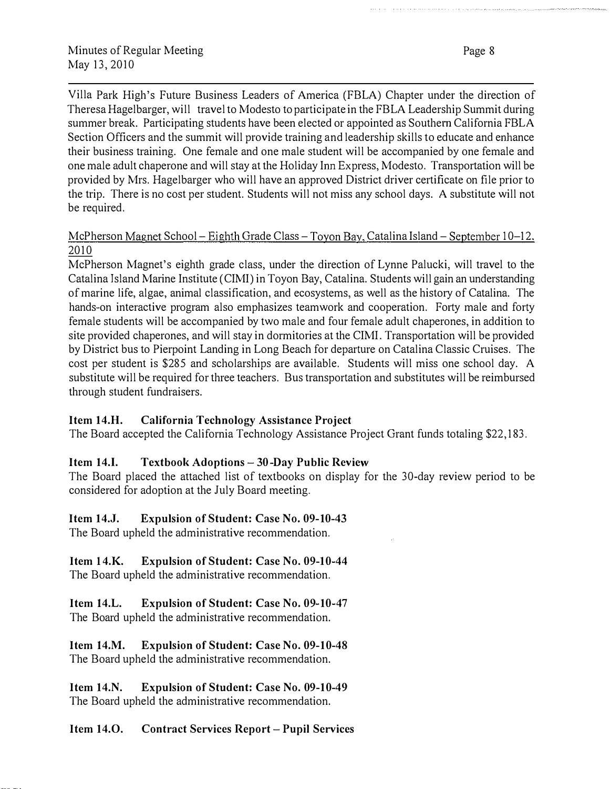Page 8

Villa Park High's Future Business Leaders of America (FBLA) Chapter under the direction of Theresa Hagelbarger, will travel to Modesto to participate in the FBLA Leadership Summit during summer break. Participating students have been elected or appointed as Southern California FBLA Section Officers and the summit will provide training and leadership skills to educate and enhance their business training. One female and one male student will be accompanied by one female and one male adult chaperone and will stay at the Holiday Inn Express, Modesto. Transportation will be provided by Mrs. Hagelbarger who will have an approved District driver certificate on file prior to the trip. There is no cost per student. Students will not miss any school days. A substitute will not be required.

# McPherson Magnet School – Eighth Grade Class – Toyon Bay, Catalina Island – September 10–12. 2010

McPherson Magnet's eighth grade class, under the direction of Lynne Palucki, will travel to the Catalina Island Marine Institute (CIMI) in Toyon Bay, Catalina. Students will gain an understanding of marine life, algae, animal classification, and ecosystems, as well as the history of Catalina. The hands-on interactive program also emphasizes teamwork and cooperation. Forty male and forty female students will be accompanied by two male and four female adult chaperones, in addition to site provided chaperones, and will stay in dormitories at the CIMI. Transportation will be provided by District bus to Pierpoint Landing in Long Beach for departure on Catalina Classic Cruises. The cost per student is \$285 and scholarships are available. Students will miss one school day. A substitute will be required for three teachers. Bus transportation and substitutes will be reimbursed through student fundraisers.

# Item 14.H. California Technology Assistance Project

The Board accepted the California Technology Assistance Project Grant funds totaling \$22, 183.

# Item 14.1. Textbook Adoptions- 30-Day Public Review

The Board placed the attached list of textbooks on display for the 30-day review period to be considered for adoption at the July Board meeting.

# Item 14.J. Expulsion of Student: Case No. 09-10-43

The Board upheld the administrative recommendation.

# Item 14.K. Expulsion of Student: Case No. 09-10-44

The Board upheld the administrative recommendation.

#### Item l4.L. Expulsion of Student: Case No. 09-10-47 The Board upheld the administrative recommendation.

#### Item l4.M. Expulsion of Student: Case No. 09-10-48 The Board upheld the administrative recommendation.

Item 14.N. Expulsion of Student: Case No. 09-10-49 The Board upheld the administrative recommendation.

# Item 14.0. Contract Services Report- Pupil Services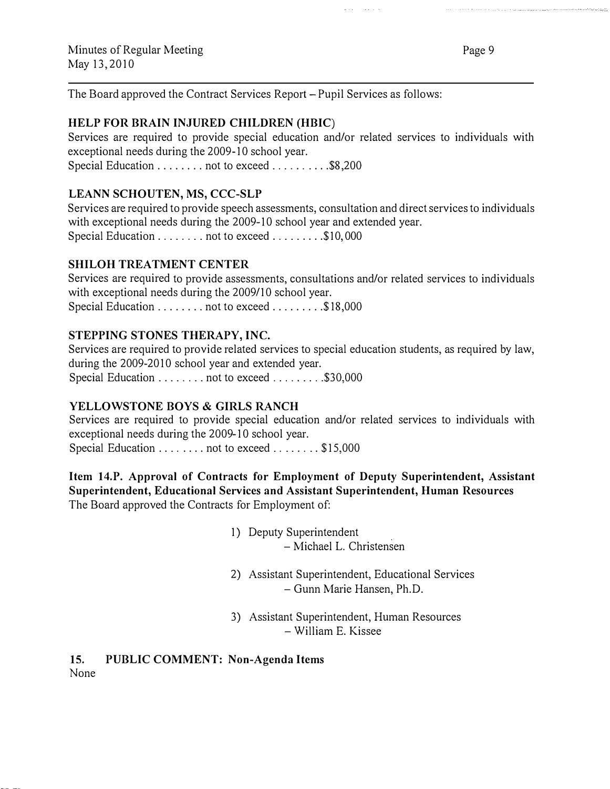Page 9

.<br>List to a test considerable to a final considerable considerable completed the test that the test of the second

The Board approved the Contract Services Report- Pupil Services as follows:

# HELP FOR BRAIN INJURED CHILDREN (HBIC)

Services are required to provide special education and/or related services to individuals with exceptional needs during the 2009-10 school year. Special Education . . . . . . . . not to exceed . . . . . . . . . \$8,200

and the state

# LEANN SCHOUTEN, MS, CCC-SLP

Services are required to provide speech assessments, consultation and direct services to individuals with exceptional needs during the 2009-10 school year and extended year. Special Education . . . . . . . . not to exceed . . . . . . . . \$10,000

# SHILOH TREATMENT CENTER

Services are required to provide assessments, consultations and/or related services to individuals with exceptional needs during the 2009/10 school year. Special Education ......... not to exceed .........\$18,000

# STEPPING STONES THERAPY, INC

Services are required to provide related services to special education students, as required by law, during the 2009-2010 school year and extended year. Special Education . . . . . . . . not to exceed . . . . . . . . \$30,000

# YELLOWSTONE BOYS & GIRLS RANCH

Services are required to provide special education and/or related services to individuals with exceptional needs during the 2009-10 school year. Special Education . . . . . . . . not to exceed . . . . . . . \$15,000

Item 14.P. Approval of Contracts for Employment of Deputy Superintendent, Assistant Superintendent, Educational Services and Assistant Superintendent, Human Resources The Board approved the Contracts for Employment of:

- 1) Deputy Superintendent - Michael L. Christensen
- 2) Assistant Superintendent, Educational Services - Gunn Marie Hansen, Ph.D.
- 3) Assistant Superintendent, Human Resources - William E. Kissee

15. PUBLIC COMMENT: Non-Agenda Items None